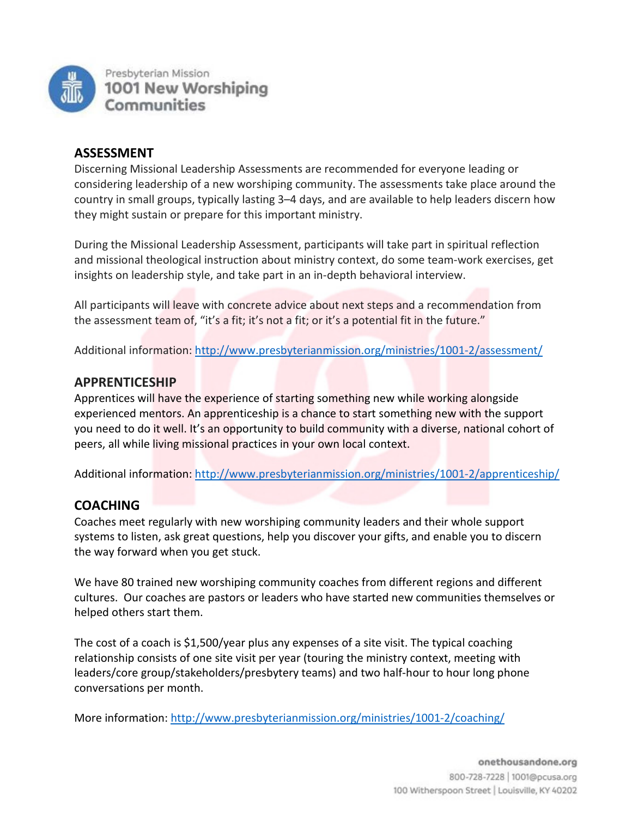

### **ASSESSMENT**

Discerning Missional Leadership Assessments are recommended for everyone leading or considering leadership of a new worshiping community. The assessments take place around the country in small groups, typically lasting 3–4 days, and are available to help leaders discern how they might sustain or prepare for this important ministry.

During the Missional Leadership Assessment, participants will take part in spiritual reflection and missional theological instruction about ministry context, do some team-work exercises, get insights on leadership style, and take part in an in-depth behavioral interview.

All participants will leave with concrete advice about next steps and a recommendation from the assessment team of, "it's a fit; it's not a fit; or it's a potential fit in the future."

Additional information:<http://www.presbyterianmission.org/ministries/1001-2/assessment/>

#### **APPRENTICESHIP**

Apprentices will have the experience of starting something new while working alongside experienced mentors. An apprenticeship is a chance to start something new with the support you need to do it well. It's an opportunity to build community with a diverse, national cohort of peers, all while living missional practices in your own local context.

Additional information:<http://www.presbyterianmission.org/ministries/1001-2/apprenticeship/>

### **COACHING**

Coaches meet regularly with new worshiping community leaders and their whole support systems to listen, ask great questions, help you discover your gifts, and enable you to discern the way forward when you get stuck.

We have 80 trained new worshiping community coaches from different regions and different cultures. Our coaches are pastors or leaders who have started new communities themselves or helped others start them.

The cost of a coach is \$1,500/year plus any expenses of a site visit. The typical coaching relationship consists of one site visit per year (touring the ministry context, meeting with leaders/core group/stakeholders/presbytery teams) and two half-hour to hour long phone conversations per month.

More information:<http://www.presbyterianmission.org/ministries/1001-2/coaching/>